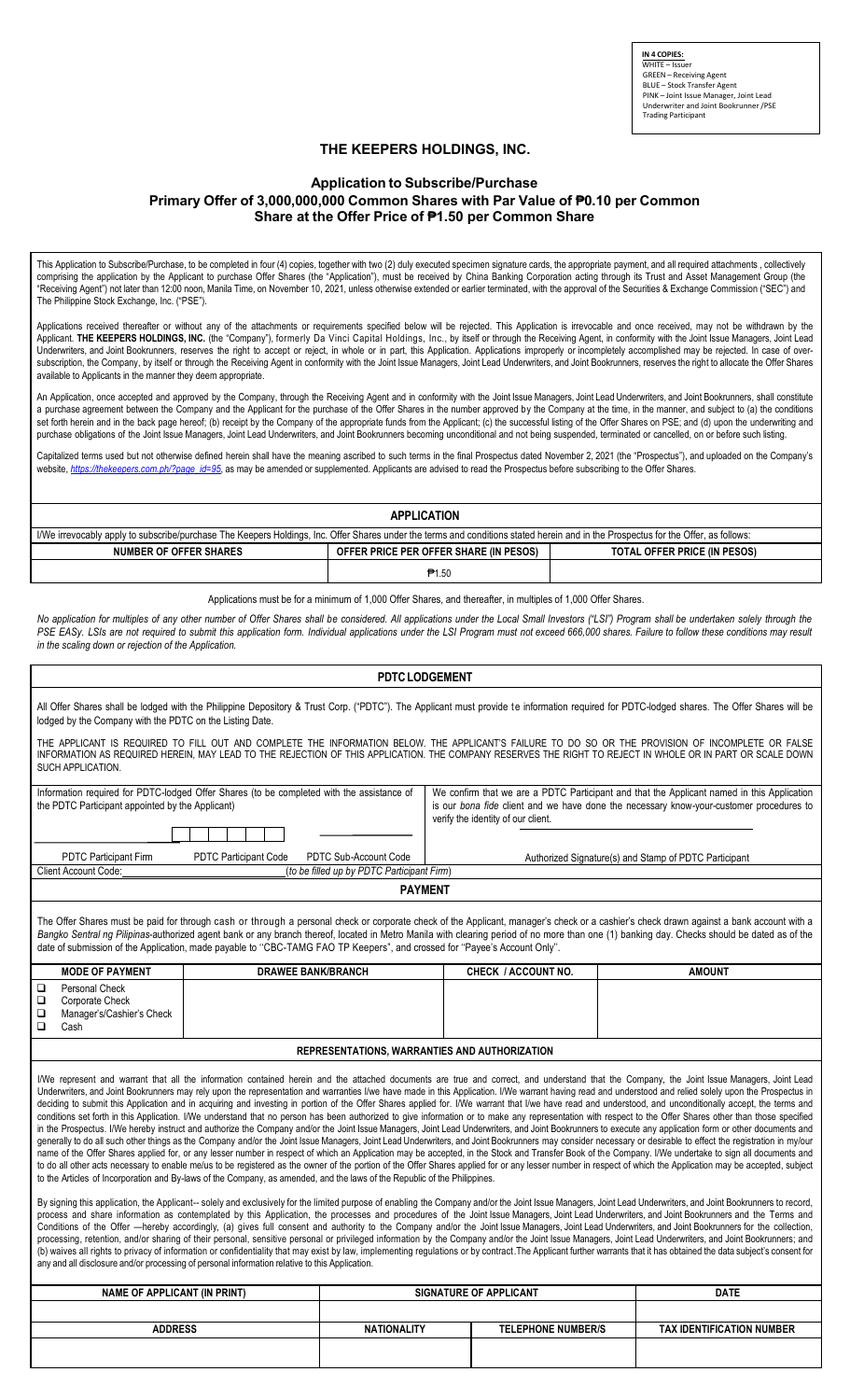**IN 4 COPIES:** WHITE – Issuer GREEN – Receiving Agent BLUE – Stock Transfer Agent PINK – Joint Issue Manager, Joint Lead Underwriter and Joint Bookrunner/PSE Trading Participant

## **THE KEEPERS HOLDINGS, INC.**

## **Application to Subscribe/Purchase Primary Offer of 3,000,000,000 Common Shares with Par Value of ₱0.10 per Common Share at the Offer Price of ₱1.50 per Common Share**

This Application to Subscribe/Purchase, to be completed in four (4) copies, together with two (2) duly executed specimen signature cards, the appropriate payment, and all required attachments , collectively comprising the application by the Applicant to purchase Offer Shares (the "Application"), must be received by China Banking Corporation acting through its Trust and Asset Management Group (the "Receiving Agent") not later than 12:00 noon, Manila Time, on November 10, 2021, unless otherwise extended or earlier terminated, with the approval of the Securities & Exchange Commission ("SEC") and The Philippine Stock Exchange, Inc. ("PSE").

Applications received thereafter or without any of the attachments or requirements specified below will be rejected. This Application is irrevocable and once received, may not be withdrawn by the Applicant. THE KEEPERS HOLDINGS, INC. (the "Company"), formerly Da Vinci Capital Holdings, Inc., by itself or through the Receiving Agent, in conformity with the Joint Issue Managers, Joint Lead Underwriters, and Joint Bookrunners, reserves the right to accept or reject, in whole or in part, this Application. Applications improperly or incompletely accomplished may be rejected. In case of oversubscription, the Company, by itself or through the Receiving Agent in conformity with the Joint Issue Managers, Joint Lead Underwriters, and Joint Bookrunners, reserves the right to allocate the Offer Shares available to Applicants in the manner they deem appropriate.

An Application, once accepted and approved by the Company, through the Receiving Agent and in conformity with the Joint Issue Managers, Joint Lead Underwriters, and Joint Bookrunners, shall constitute a purchase agreement between the Company and the Applicant for the purchase of the Offer Shares in the number approved by the Company at the time, in the manner, and subject to (a) the conditions set forth herein and in the back page hereof; (b) receipt by the Company of the appropriate funds from the Applicant; (c) the successful listing of the Offer Shares on PSE; and (d) upon the underwriting and purchase obligations of the Joint Issue Managers, Joint Lead Underwriters, and Joint Bookrunners becoming unconditional and not being suspended, terminated or cancelled, on or before such listing.

Capitalized terms used but not otherwise defined herein shall have the meaning ascribed to such terms in the final Prospectus dated November 2, 2021 (the "Prospectus"), and uploaded on the Company's website, *https://thekeepers.com.ph/?page\_id=95*, as may be amended or supplemented. Applicants are advised to read the Prospectus before subscribing to the Offer Shares.

| <b>APPLICATION</b>                                                                                                                                                                 |                                        |                                     |  |  |  |  |
|------------------------------------------------------------------------------------------------------------------------------------------------------------------------------------|----------------------------------------|-------------------------------------|--|--|--|--|
| I/We irrevocably apply to subscribe/purchase The Keepers Holdings, Inc. Offer Shares under the terms and conditions stated herein and in the Prospectus for the Offer, as follows: |                                        |                                     |  |  |  |  |
| <b>NUMBER OF OFFER SHARES</b>                                                                                                                                                      | OFFER PRICE PER OFFER SHARE (IN PESOS) | <b>TOTAL OFFER PRICE (IN PESOS)</b> |  |  |  |  |
|                                                                                                                                                                                    | <b>P</b> 1.50                          |                                     |  |  |  |  |

Applications must be for a minimum of 1,000 Offer Shares, and thereafter, in multiples of 1,000 Offer Shares.

No application for multiples of any other number of Offer Shares shall be considered. All applications under the Local Small Investors ("LSI") Program shall be undertaken solely through the PSE EASy. LSIs are not required to submit this application form. Individual applications under the LSI Program must not exceed 666,000 shares. Failure to follow these conditions may result *in the scaling down or rejection of the Application.*

| <b>PDTC LODGEMENT</b>                                                                                                                                                                                                                                                                                                                                                                                                                                                                                                                                                                                                                                                                                                                                                                                                                                                                                                                                                                                                                                                                                                                                                                                                                                                                                                                                                                                                                                                                                                                                                                                                                                                                                                                                                                                                                                                                                                                                                                                                                                                                                                                                                                                                                                                                                                                                                                                                                                                                                                                                                                                                                                                                                                                                                                                                                                                                                                                                                                      |                                                                     |                                                                                                                                                                                                                             |                                                       |  |  |
|--------------------------------------------------------------------------------------------------------------------------------------------------------------------------------------------------------------------------------------------------------------------------------------------------------------------------------------------------------------------------------------------------------------------------------------------------------------------------------------------------------------------------------------------------------------------------------------------------------------------------------------------------------------------------------------------------------------------------------------------------------------------------------------------------------------------------------------------------------------------------------------------------------------------------------------------------------------------------------------------------------------------------------------------------------------------------------------------------------------------------------------------------------------------------------------------------------------------------------------------------------------------------------------------------------------------------------------------------------------------------------------------------------------------------------------------------------------------------------------------------------------------------------------------------------------------------------------------------------------------------------------------------------------------------------------------------------------------------------------------------------------------------------------------------------------------------------------------------------------------------------------------------------------------------------------------------------------------------------------------------------------------------------------------------------------------------------------------------------------------------------------------------------------------------------------------------------------------------------------------------------------------------------------------------------------------------------------------------------------------------------------------------------------------------------------------------------------------------------------------------------------------------------------------------------------------------------------------------------------------------------------------------------------------------------------------------------------------------------------------------------------------------------------------------------------------------------------------------------------------------------------------------------------------------------------------------------------------------------------------|---------------------------------------------------------------------|-----------------------------------------------------------------------------------------------------------------------------------------------------------------------------------------------------------------------------|-------------------------------------------------------|--|--|
| All Offer Shares shall be lodged with the Philippine Depository & Trust Corp. ("PDTC"). The Applicant must provide te information required for PDTC-lodged shares. The Offer Shares will be<br>lodged by the Company with the PDTC on the Listing Date.                                                                                                                                                                                                                                                                                                                                                                                                                                                                                                                                                                                                                                                                                                                                                                                                                                                                                                                                                                                                                                                                                                                                                                                                                                                                                                                                                                                                                                                                                                                                                                                                                                                                                                                                                                                                                                                                                                                                                                                                                                                                                                                                                                                                                                                                                                                                                                                                                                                                                                                                                                                                                                                                                                                                    |                                                                     |                                                                                                                                                                                                                             |                                                       |  |  |
| THE APPLICANT IS REQUIRED TO FILL OUT AND COMPLETE THE INFORMATION BELOW. THE APPLICANT'S FAILURE TO DO SO OR THE PROVISION OF INCOMPLETE OR FALSE<br>INFORMATION AS REQUIRED HEREIN, MAY LEAD TO THE REJECTION OF THIS APPLICATION. THE COMPANY RESERVES THE RIGHT TO REJECT IN WHOLE OR IN PART OR SCALE DOWN<br>SUCH APPLICATION.                                                                                                                                                                                                                                                                                                                                                                                                                                                                                                                                                                                                                                                                                                                                                                                                                                                                                                                                                                                                                                                                                                                                                                                                                                                                                                                                                                                                                                                                                                                                                                                                                                                                                                                                                                                                                                                                                                                                                                                                                                                                                                                                                                                                                                                                                                                                                                                                                                                                                                                                                                                                                                                       |                                                                     |                                                                                                                                                                                                                             |                                                       |  |  |
| Information required for PDTC-lodged Offer Shares (to be completed with the assistance of<br>the PDTC Participant appointed by the Applicant)                                                                                                                                                                                                                                                                                                                                                                                                                                                                                                                                                                                                                                                                                                                                                                                                                                                                                                                                                                                                                                                                                                                                                                                                                                                                                                                                                                                                                                                                                                                                                                                                                                                                                                                                                                                                                                                                                                                                                                                                                                                                                                                                                                                                                                                                                                                                                                                                                                                                                                                                                                                                                                                                                                                                                                                                                                              |                                                                     | We confirm that we are a PDTC Participant and that the Applicant named in this Application<br>is our bona fide client and we have done the necessary know-your-customer procedures to<br>verify the identity of our client. |                                                       |  |  |
|                                                                                                                                                                                                                                                                                                                                                                                                                                                                                                                                                                                                                                                                                                                                                                                                                                                                                                                                                                                                                                                                                                                                                                                                                                                                                                                                                                                                                                                                                                                                                                                                                                                                                                                                                                                                                                                                                                                                                                                                                                                                                                                                                                                                                                                                                                                                                                                                                                                                                                                                                                                                                                                                                                                                                                                                                                                                                                                                                                                            |                                                                     |                                                                                                                                                                                                                             |                                                       |  |  |
| <b>PDTC Participant Firm</b><br><b>PDTC Participant Code</b><br>Client Account Code:                                                                                                                                                                                                                                                                                                                                                                                                                                                                                                                                                                                                                                                                                                                                                                                                                                                                                                                                                                                                                                                                                                                                                                                                                                                                                                                                                                                                                                                                                                                                                                                                                                                                                                                                                                                                                                                                                                                                                                                                                                                                                                                                                                                                                                                                                                                                                                                                                                                                                                                                                                                                                                                                                                                                                                                                                                                                                                       | PDTC Sub-Account Code<br>(to be filled up by PDTC Participant Firm) |                                                                                                                                                                                                                             | Authorized Signature(s) and Stamp of PDTC Participant |  |  |
|                                                                                                                                                                                                                                                                                                                                                                                                                                                                                                                                                                                                                                                                                                                                                                                                                                                                                                                                                                                                                                                                                                                                                                                                                                                                                                                                                                                                                                                                                                                                                                                                                                                                                                                                                                                                                                                                                                                                                                                                                                                                                                                                                                                                                                                                                                                                                                                                                                                                                                                                                                                                                                                                                                                                                                                                                                                                                                                                                                                            | <b>PAYMENT</b>                                                      |                                                                                                                                                                                                                             |                                                       |  |  |
| The Offer Shares must be paid for through cash or through a personal check or corporate check of the Applicant, manager's check or a cashier's check drawn against a bank account with a<br>Bangko Sentral ng Pilipinas-authorized agent bank or any branch thereof, located in Metro Manila with clearing period of no more than one (1) banking day. Checks should be dated as of the<br>date of submission of the Application, made payable to "CBC-TAMG FAO TP Keepers", and crossed for "Payee's Account Only".<br><b>MODE OF PAYMENT</b><br><b>DRAWEE BANK/BRANCH</b><br>CHECK / ACCOUNT NO.<br><b>AMOUNT</b>                                                                                                                                                                                                                                                                                                                                                                                                                                                                                                                                                                                                                                                                                                                                                                                                                                                                                                                                                                                                                                                                                                                                                                                                                                                                                                                                                                                                                                                                                                                                                                                                                                                                                                                                                                                                                                                                                                                                                                                                                                                                                                                                                                                                                                                                                                                                                                        |                                                                     |                                                                                                                                                                                                                             |                                                       |  |  |
| Personal Check<br>□                                                                                                                                                                                                                                                                                                                                                                                                                                                                                                                                                                                                                                                                                                                                                                                                                                                                                                                                                                                                                                                                                                                                                                                                                                                                                                                                                                                                                                                                                                                                                                                                                                                                                                                                                                                                                                                                                                                                                                                                                                                                                                                                                                                                                                                                                                                                                                                                                                                                                                                                                                                                                                                                                                                                                                                                                                                                                                                                                                        |                                                                     |                                                                                                                                                                                                                             |                                                       |  |  |
| □<br>Corporate Check<br>$\Box$<br>Manager's/Cashier's Check<br>$\Box$<br>Cash                                                                                                                                                                                                                                                                                                                                                                                                                                                                                                                                                                                                                                                                                                                                                                                                                                                                                                                                                                                                                                                                                                                                                                                                                                                                                                                                                                                                                                                                                                                                                                                                                                                                                                                                                                                                                                                                                                                                                                                                                                                                                                                                                                                                                                                                                                                                                                                                                                                                                                                                                                                                                                                                                                                                                                                                                                                                                                              |                                                                     |                                                                                                                                                                                                                             |                                                       |  |  |
|                                                                                                                                                                                                                                                                                                                                                                                                                                                                                                                                                                                                                                                                                                                                                                                                                                                                                                                                                                                                                                                                                                                                                                                                                                                                                                                                                                                                                                                                                                                                                                                                                                                                                                                                                                                                                                                                                                                                                                                                                                                                                                                                                                                                                                                                                                                                                                                                                                                                                                                                                                                                                                                                                                                                                                                                                                                                                                                                                                                            | REPRESENTATIONS, WARRANTIES AND AUTHORIZATION                       |                                                                                                                                                                                                                             |                                                       |  |  |
| I/We represent and warrant that all the information contained herein and the attached documents are true and correct, and understand that the Company, the Joint Issue Managers, Joint Lead<br>Underwriters, and Joint Bookrunners may rely upon the representation and warranties I/we have made in this Application. I/We warrant having read and understood and relied solely upon the Prospectus in<br>deciding to submit this Application and in acquiring and investing in portion of the Offer Shares applied for. I/We warrant that I/we have read and understood, and unconditionally accept, the terms and<br>conditions set forth in this Application. I/We understand that no person has been authorized to give information or to make any representation with respect to the Offer Shares other than those specified<br>in the Prospectus. I/We hereby instruct and authorize the Company and/or the Joint Issue Managers, Joint Lead Underwriters, and Joint Bookrunners to execute any application form or other documents and<br>generally to do all such other things as the Company and/or the Joint Issue Managers, Joint Lead Underwriters, and Joint Bookrunners may consider necessary or desirable to effect the registration in my/our<br>name of the Offer Shares applied for, or any lesser number in respect of which an Application may be accepted, in the Stock and Transfer Book of the Company. I/We undertake to sign all documents and<br>to do all other acts necessary to enable me/us to be registered as the owner of the portion of the Offer Shares applied for or any lesser number in respect of which the Application may be accepted, subject<br>to the Articles of Incorporation and By-laws of the Company, as amended, and the laws of the Republic of the Philippines.<br>By signing this application, the Applicant-- solely and exclusively for the limited purpose of enabling the Company and/or the Joint Issue Managers, Joint Lead Underwriters, and Joint Bookrunners to record,<br>process and share information as contemplated by this Application, the processes and procedures of the Joint Issue Managers, Joint Lead Underwriters, and Joint Bookrunners and the Terms and<br>Conditions of the Offer -hereby accordingly, (a) gives full consent and authority to the Company and/or the Joint Issue Managers, Joint Lead Underwriters, and Joint Bookrunners for the collection,<br>processing, retention, and/or sharing of their personal, sensitive personal or privileged information by the Company and/or the Joint Issue Managers, Joint Lead Underwriters, and Joint Bookrunners; and<br>(b) waives all rights to privacy of information or confidentiality that may exist by law, implementing regulations or by contract. The Applicant further warrants that it has obtained the data subject's consent for<br>any and all disclosure and/or processing of personal information relative to this Application. |                                                                     |                                                                                                                                                                                                                             |                                                       |  |  |
| <b>NAME OF APPLICANT (IN PRINT)</b>                                                                                                                                                                                                                                                                                                                                                                                                                                                                                                                                                                                                                                                                                                                                                                                                                                                                                                                                                                                                                                                                                                                                                                                                                                                                                                                                                                                                                                                                                                                                                                                                                                                                                                                                                                                                                                                                                                                                                                                                                                                                                                                                                                                                                                                                                                                                                                                                                                                                                                                                                                                                                                                                                                                                                                                                                                                                                                                                                        | SIGNATURE OF APPLICANT                                              |                                                                                                                                                                                                                             | <b>DATE</b>                                           |  |  |
|                                                                                                                                                                                                                                                                                                                                                                                                                                                                                                                                                                                                                                                                                                                                                                                                                                                                                                                                                                                                                                                                                                                                                                                                                                                                                                                                                                                                                                                                                                                                                                                                                                                                                                                                                                                                                                                                                                                                                                                                                                                                                                                                                                                                                                                                                                                                                                                                                                                                                                                                                                                                                                                                                                                                                                                                                                                                                                                                                                                            |                                                                     |                                                                                                                                                                                                                             |                                                       |  |  |
| <b>ADDRESS</b>                                                                                                                                                                                                                                                                                                                                                                                                                                                                                                                                                                                                                                                                                                                                                                                                                                                                                                                                                                                                                                                                                                                                                                                                                                                                                                                                                                                                                                                                                                                                                                                                                                                                                                                                                                                                                                                                                                                                                                                                                                                                                                                                                                                                                                                                                                                                                                                                                                                                                                                                                                                                                                                                                                                                                                                                                                                                                                                                                                             | <b>NATIONALITY</b>                                                  | <b>TELEPHONE NUMBER/S</b>                                                                                                                                                                                                   | <b>TAX IDENTIFICATION NUMBER</b>                      |  |  |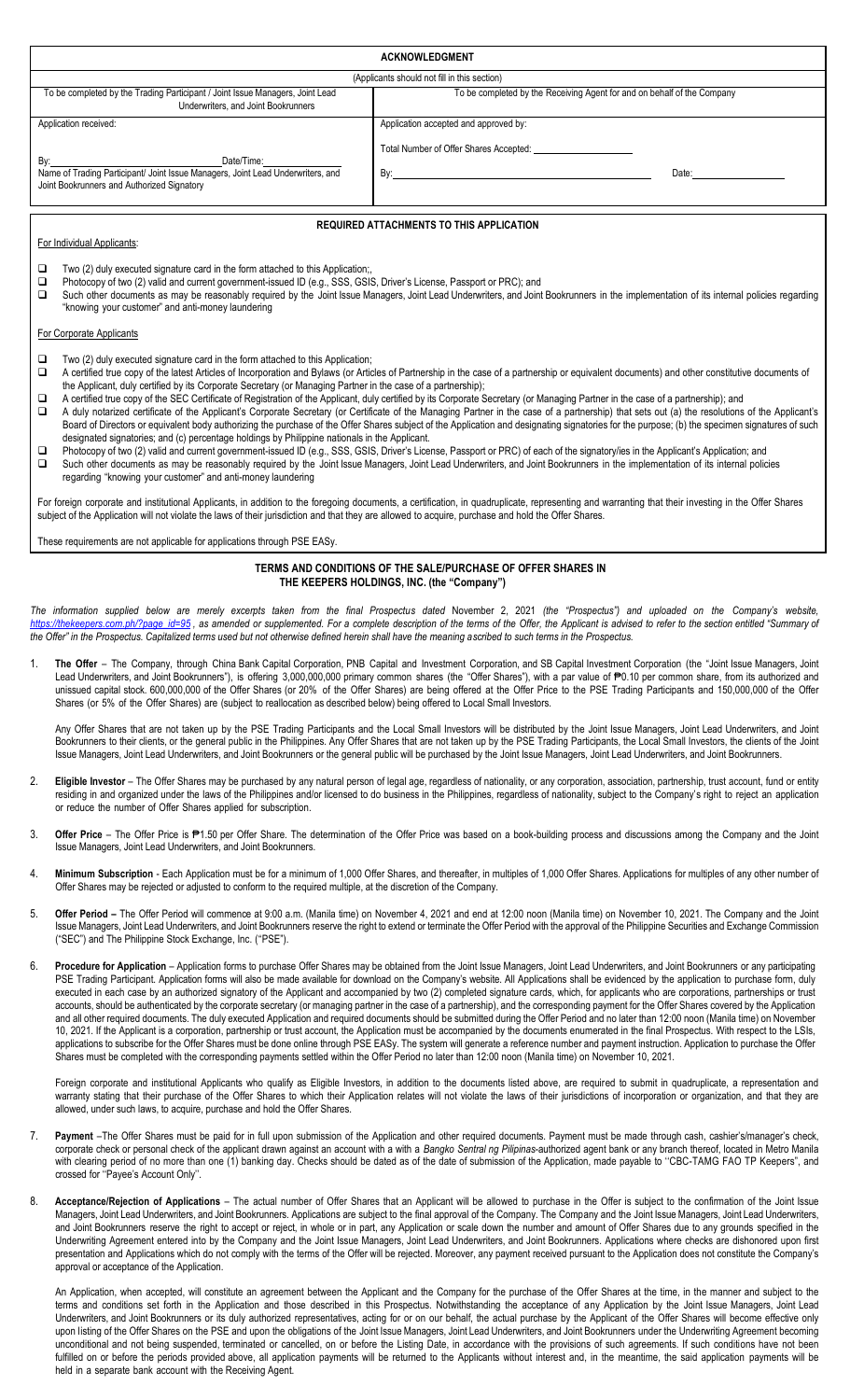| <b>ACKNOWLEDGMENT</b>                                                                                                                                                                                                                                                                                                                                                                                                                                                                                                                                                                                                                                                                                                                                                                                                                                                                                                                                                                                        |                                                                                                                                                                                                                                                                                                                                                                                                                                                                                                                                                                                                                                                                                                    |                                                                                                                                                                                                                                                                                                                                                                                                                                                                                                                                                                                                                                                                                                                                                                                                                                                                                                                                                                                                                                                                                                                                                                                                                                                                                                                                                                                      |  |  |  |  |
|--------------------------------------------------------------------------------------------------------------------------------------------------------------------------------------------------------------------------------------------------------------------------------------------------------------------------------------------------------------------------------------------------------------------------------------------------------------------------------------------------------------------------------------------------------------------------------------------------------------------------------------------------------------------------------------------------------------------------------------------------------------------------------------------------------------------------------------------------------------------------------------------------------------------------------------------------------------------------------------------------------------|----------------------------------------------------------------------------------------------------------------------------------------------------------------------------------------------------------------------------------------------------------------------------------------------------------------------------------------------------------------------------------------------------------------------------------------------------------------------------------------------------------------------------------------------------------------------------------------------------------------------------------------------------------------------------------------------------|--------------------------------------------------------------------------------------------------------------------------------------------------------------------------------------------------------------------------------------------------------------------------------------------------------------------------------------------------------------------------------------------------------------------------------------------------------------------------------------------------------------------------------------------------------------------------------------------------------------------------------------------------------------------------------------------------------------------------------------------------------------------------------------------------------------------------------------------------------------------------------------------------------------------------------------------------------------------------------------------------------------------------------------------------------------------------------------------------------------------------------------------------------------------------------------------------------------------------------------------------------------------------------------------------------------------------------------------------------------------------------------|--|--|--|--|
| (Applicants should not fill in this section)                                                                                                                                                                                                                                                                                                                                                                                                                                                                                                                                                                                                                                                                                                                                                                                                                                                                                                                                                                 |                                                                                                                                                                                                                                                                                                                                                                                                                                                                                                                                                                                                                                                                                                    |                                                                                                                                                                                                                                                                                                                                                                                                                                                                                                                                                                                                                                                                                                                                                                                                                                                                                                                                                                                                                                                                                                                                                                                                                                                                                                                                                                                      |  |  |  |  |
|                                                                                                                                                                                                                                                                                                                                                                                                                                                                                                                                                                                                                                                                                                                                                                                                                                                                                                                                                                                                              | To be completed by the Trading Participant / Joint Issue Managers, Joint Lead<br>Underwriters, and Joint Bookrunners                                                                                                                                                                                                                                                                                                                                                                                                                                                                                                                                                                               | To be completed by the Receiving Agent for and on behalf of the Company                                                                                                                                                                                                                                                                                                                                                                                                                                                                                                                                                                                                                                                                                                                                                                                                                                                                                                                                                                                                                                                                                                                                                                                                                                                                                                              |  |  |  |  |
|                                                                                                                                                                                                                                                                                                                                                                                                                                                                                                                                                                                                                                                                                                                                                                                                                                                                                                                                                                                                              | Application received:                                                                                                                                                                                                                                                                                                                                                                                                                                                                                                                                                                                                                                                                              | Application accepted and approved by:                                                                                                                                                                                                                                                                                                                                                                                                                                                                                                                                                                                                                                                                                                                                                                                                                                                                                                                                                                                                                                                                                                                                                                                                                                                                                                                                                |  |  |  |  |
|                                                                                                                                                                                                                                                                                                                                                                                                                                                                                                                                                                                                                                                                                                                                                                                                                                                                                                                                                                                                              |                                                                                                                                                                                                                                                                                                                                                                                                                                                                                                                                                                                                                                                                                                    |                                                                                                                                                                                                                                                                                                                                                                                                                                                                                                                                                                                                                                                                                                                                                                                                                                                                                                                                                                                                                                                                                                                                                                                                                                                                                                                                                                                      |  |  |  |  |
|                                                                                                                                                                                                                                                                                                                                                                                                                                                                                                                                                                                                                                                                                                                                                                                                                                                                                                                                                                                                              |                                                                                                                                                                                                                                                                                                                                                                                                                                                                                                                                                                                                                                                                                                    | Date: the contract of the contract of the contract of the contract of the contract of the contract of the contract of the contract of the contract of the contract of the contract of the contract of the contract of the cont                                                                                                                                                                                                                                                                                                                                                                                                                                                                                                                                                                                                                                                                                                                                                                                                                                                                                                                                                                                                                                                                                                                                                       |  |  |  |  |
|                                                                                                                                                                                                                                                                                                                                                                                                                                                                                                                                                                                                                                                                                                                                                                                                                                                                                                                                                                                                              | Joint Bookrunners and Authorized Signatory                                                                                                                                                                                                                                                                                                                                                                                                                                                                                                                                                                                                                                                         |                                                                                                                                                                                                                                                                                                                                                                                                                                                                                                                                                                                                                                                                                                                                                                                                                                                                                                                                                                                                                                                                                                                                                                                                                                                                                                                                                                                      |  |  |  |  |
|                                                                                                                                                                                                                                                                                                                                                                                                                                                                                                                                                                                                                                                                                                                                                                                                                                                                                                                                                                                                              |                                                                                                                                                                                                                                                                                                                                                                                                                                                                                                                                                                                                                                                                                                    |                                                                                                                                                                                                                                                                                                                                                                                                                                                                                                                                                                                                                                                                                                                                                                                                                                                                                                                                                                                                                                                                                                                                                                                                                                                                                                                                                                                      |  |  |  |  |
|                                                                                                                                                                                                                                                                                                                                                                                                                                                                                                                                                                                                                                                                                                                                                                                                                                                                                                                                                                                                              | For Individual Applicants:                                                                                                                                                                                                                                                                                                                                                                                                                                                                                                                                                                                                                                                                         | <b>REQUIRED ATTACHMENTS TO THIS APPLICATION</b>                                                                                                                                                                                                                                                                                                                                                                                                                                                                                                                                                                                                                                                                                                                                                                                                                                                                                                                                                                                                                                                                                                                                                                                                                                                                                                                                      |  |  |  |  |
|                                                                                                                                                                                                                                                                                                                                                                                                                                                                                                                                                                                                                                                                                                                                                                                                                                                                                                                                                                                                              |                                                                                                                                                                                                                                                                                                                                                                                                                                                                                                                                                                                                                                                                                                    |                                                                                                                                                                                                                                                                                                                                                                                                                                                                                                                                                                                                                                                                                                                                                                                                                                                                                                                                                                                                                                                                                                                                                                                                                                                                                                                                                                                      |  |  |  |  |
|                                                                                                                                                                                                                                                                                                                                                                                                                                                                                                                                                                                                                                                                                                                                                                                                                                                                                                                                                                                                              | ❏<br>Two (2) duly executed signature card in the form attached to this Application;<br>Photocopy of two (2) valid and current government-issued ID (e.g., SSS, GSIS, Driver's License, Passport or PRC); and<br>❏<br>Such other documents as may be reasonably required by the Joint Issue Managers, Joint Lead Underwriters, and Joint Bookrunners in the implementation of its internal policies regarding<br>□<br>"knowing your customer" and anti-money laundering                                                                                                                                                                                                                             |                                                                                                                                                                                                                                                                                                                                                                                                                                                                                                                                                                                                                                                                                                                                                                                                                                                                                                                                                                                                                                                                                                                                                                                                                                                                                                                                                                                      |  |  |  |  |
|                                                                                                                                                                                                                                                                                                                                                                                                                                                                                                                                                                                                                                                                                                                                                                                                                                                                                                                                                                                                              | For Corporate Applicants                                                                                                                                                                                                                                                                                                                                                                                                                                                                                                                                                                                                                                                                           |                                                                                                                                                                                                                                                                                                                                                                                                                                                                                                                                                                                                                                                                                                                                                                                                                                                                                                                                                                                                                                                                                                                                                                                                                                                                                                                                                                                      |  |  |  |  |
| Two (2) duly executed signature card in the form attached to this Application;<br>❏<br>A certified true copy of the latest Articles of Incorporation and Bylaws (or Articles of Partnership in the case of a partnership or equivalent documents) and other constitutive documents of<br>□<br>the Applicant, duly certified by its Corporate Secretary (or Managing Partner in the case of a partnership);<br>A certified true copy of the SEC Certificate of Registration of the Applicant, duly certified by its Corporate Secretary (or Managing Partner in the case of a partnership); and<br>❏<br>A duly notarized certificate of the Applicant's Corporate Secretary (or Certificate of the Managing Partner in the case of a partnership) that sets out (a) the resolutions of the Applicant's<br>□<br>Board of Directors or equivalent body authorizing the purchase of the Offer Shares subject of the Application and designating signatories for the purpose; (b) the specimen signatures of such |                                                                                                                                                                                                                                                                                                                                                                                                                                                                                                                                                                                                                                                                                                    |                                                                                                                                                                                                                                                                                                                                                                                                                                                                                                                                                                                                                                                                                                                                                                                                                                                                                                                                                                                                                                                                                                                                                                                                                                                                                                                                                                                      |  |  |  |  |
|                                                                                                                                                                                                                                                                                                                                                                                                                                                                                                                                                                                                                                                                                                                                                                                                                                                                                                                                                                                                              | designated signatories; and (c) percentage holdings by Philippine nationals in the Applicant.<br>Photocopy of two (2) valid and current government-issued ID (e.g., SSS, GSIS, Driver's License, Passport or PRC) of each of the signatory/ies in the Applicant's Application; and<br>❏<br>Such other documents as may be reasonably required by the Joint Issue Managers, Joint Lead Underwriters, and Joint Bookrunners in the implementation of its internal policies<br>□<br>regarding "knowing your customer" and anti-money laundering                                                                                                                                                       |                                                                                                                                                                                                                                                                                                                                                                                                                                                                                                                                                                                                                                                                                                                                                                                                                                                                                                                                                                                                                                                                                                                                                                                                                                                                                                                                                                                      |  |  |  |  |
|                                                                                                                                                                                                                                                                                                                                                                                                                                                                                                                                                                                                                                                                                                                                                                                                                                                                                                                                                                                                              | For foreign corporate and institutional Applicants, in addition to the foregoing documents, a certification, in quadruplicate, representing and warranting that their investing in the Offer Shares<br>subject of the Application will not violate the laws of their jurisdiction and that they are allowed to acquire, purchase and hold the Offer Shares.                                                                                                                                                                                                                                                                                                                                        |                                                                                                                                                                                                                                                                                                                                                                                                                                                                                                                                                                                                                                                                                                                                                                                                                                                                                                                                                                                                                                                                                                                                                                                                                                                                                                                                                                                      |  |  |  |  |
|                                                                                                                                                                                                                                                                                                                                                                                                                                                                                                                                                                                                                                                                                                                                                                                                                                                                                                                                                                                                              | These requirements are not applicable for applications through PSE EASy.                                                                                                                                                                                                                                                                                                                                                                                                                                                                                                                                                                                                                           |                                                                                                                                                                                                                                                                                                                                                                                                                                                                                                                                                                                                                                                                                                                                                                                                                                                                                                                                                                                                                                                                                                                                                                                                                                                                                                                                                                                      |  |  |  |  |
| TERMS AND CONDITIONS OF THE SALE/PURCHASE OF OFFER SHARES IN<br>THE KEEPERS HOLDINGS, INC. (the "Company")                                                                                                                                                                                                                                                                                                                                                                                                                                                                                                                                                                                                                                                                                                                                                                                                                                                                                                   |                                                                                                                                                                                                                                                                                                                                                                                                                                                                                                                                                                                                                                                                                                    |                                                                                                                                                                                                                                                                                                                                                                                                                                                                                                                                                                                                                                                                                                                                                                                                                                                                                                                                                                                                                                                                                                                                                                                                                                                                                                                                                                                      |  |  |  |  |
| The information supplied below are merely excerpts taken from the final Prospectus dated November 2, 2021 (the "Prospectus") and uploaded on the Company's website,<br>https://thekeepers.com.ph/?page_id=95, as amended or supplemented. For a complete description of the terms of the Offer, the Applicant is advised to refer to the section entitled "Summary of<br>the Offer" in the Prospectus. Capitalized terms used but not otherwise defined herein shall have the meaning ascribed to such terms in the Prospectus.                                                                                                                                                                                                                                                                                                                                                                                                                                                                              |                                                                                                                                                                                                                                                                                                                                                                                                                                                                                                                                                                                                                                                                                                    |                                                                                                                                                                                                                                                                                                                                                                                                                                                                                                                                                                                                                                                                                                                                                                                                                                                                                                                                                                                                                                                                                                                                                                                                                                                                                                                                                                                      |  |  |  |  |
| 1.                                                                                                                                                                                                                                                                                                                                                                                                                                                                                                                                                                                                                                                                                                                                                                                                                                                                                                                                                                                                           | The Offer - The Company, through China Bank Capital Corporation, PNB Capital and Investment Corporation, and SB Capital Investment Corporation (the "Joint Issue Managers, Joint<br>Lead Underwriters, and Joint Bookrunners"), is offering 3,000,000,000 primary common shares (the "Offer Shares"), with a par value of ₱0.10 per common share, from its authorized and<br>unissued capital stock. 600,000,000 of the Offer Shares (or 20% of the Offer Shares) are being offered at the Offer Price to the PSE Trading Participants and 150,000,000 of the Offer<br>Shares (or 5% of the Offer Shares) are (subject to reallocation as described below) being offered to Local Small Investors. |                                                                                                                                                                                                                                                                                                                                                                                                                                                                                                                                                                                                                                                                                                                                                                                                                                                                                                                                                                                                                                                                                                                                                                                                                                                                                                                                                                                      |  |  |  |  |
|                                                                                                                                                                                                                                                                                                                                                                                                                                                                                                                                                                                                                                                                                                                                                                                                                                                                                                                                                                                                              |                                                                                                                                                                                                                                                                                                                                                                                                                                                                                                                                                                                                                                                                                                    | Any Offer Shares that are not taken up by the PSE Trading Participants and the Local Small Investors will be distributed by the Joint Issue Managers, Joint Lead Underwriters, and Joint<br>Bookrunners to their clients, or the general public in the Philippines. Any Offer Shares that are not taken up by the PSE Trading Participants, the Local Small Investors, the clients of the Joint<br>Issue Managers, Joint Lead Underwriters, and Joint Bookrunners or the general public will be purchased by the Joint Issue Managers, Joint Lead Underwriters, and Joint Bookrunners.                                                                                                                                                                                                                                                                                                                                                                                                                                                                                                                                                                                                                                                                                                                                                                                               |  |  |  |  |
| 2.                                                                                                                                                                                                                                                                                                                                                                                                                                                                                                                                                                                                                                                                                                                                                                                                                                                                                                                                                                                                           | or reduce the number of Offer Shares applied for subscription.                                                                                                                                                                                                                                                                                                                                                                                                                                                                                                                                                                                                                                     | Eligible Investor - The Offer Shares may be purchased by any natural person of legal age, regardless of nationality, or any corporation, association, partnership, trust account, fund or entity<br>residing in and organized under the laws of the Philippines and/or licensed to do business in the Philippines, regardless of nationality, subject to the Company's right to reject an application                                                                                                                                                                                                                                                                                                                                                                                                                                                                                                                                                                                                                                                                                                                                                                                                                                                                                                                                                                                |  |  |  |  |
| 3.                                                                                                                                                                                                                                                                                                                                                                                                                                                                                                                                                                                                                                                                                                                                                                                                                                                                                                                                                                                                           | Issue Managers, Joint Lead Underwriters, and Joint Bookrunners.                                                                                                                                                                                                                                                                                                                                                                                                                                                                                                                                                                                                                                    | Offer Price - The Offer Price is P1.50 per Offer Share. The determination of the Offer Price was based on a book-building process and discussions among the Company and the Joint                                                                                                                                                                                                                                                                                                                                                                                                                                                                                                                                                                                                                                                                                                                                                                                                                                                                                                                                                                                                                                                                                                                                                                                                    |  |  |  |  |
| 4.                                                                                                                                                                                                                                                                                                                                                                                                                                                                                                                                                                                                                                                                                                                                                                                                                                                                                                                                                                                                           | Offer Shares may be rejected or adjusted to conform to the required multiple, at the discretion of the Company.                                                                                                                                                                                                                                                                                                                                                                                                                                                                                                                                                                                    | Minimum Subscription - Each Application must be for a minimum of 1,000 Offer Shares, and thereafter, in multiples of 1,000 Offer Shares. Applications for multiples of any other number of                                                                                                                                                                                                                                                                                                                                                                                                                                                                                                                                                                                                                                                                                                                                                                                                                                                                                                                                                                                                                                                                                                                                                                                           |  |  |  |  |
| 5.                                                                                                                                                                                                                                                                                                                                                                                                                                                                                                                                                                                                                                                                                                                                                                                                                                                                                                                                                                                                           | ("SEC") and The Philippine Stock Exchange, Inc. ("PSE").                                                                                                                                                                                                                                                                                                                                                                                                                                                                                                                                                                                                                                           | Offer Period - The Offer Period will commence at 9:00 a.m. (Manila time) on November 4, 2021 and end at 12:00 noon (Manila time) on November 10, 2021. The Company and the Joint<br>Issue Managers, Joint Lead Underwriters, and Joint Bookrunners reserve the right to extend or terminate the Offer Period with the approval of the Philippine Securities and Exchange Commission                                                                                                                                                                                                                                                                                                                                                                                                                                                                                                                                                                                                                                                                                                                                                                                                                                                                                                                                                                                                  |  |  |  |  |
| 6.                                                                                                                                                                                                                                                                                                                                                                                                                                                                                                                                                                                                                                                                                                                                                                                                                                                                                                                                                                                                           | Shares must be completed with the corresponding payments settled within the Offer Period no later than 12:00 noon (Manila time) on November 10, 2021.                                                                                                                                                                                                                                                                                                                                                                                                                                                                                                                                              | Procedure for Application - Application forms to purchase Offer Shares may be obtained from the Joint Issue Managers, Joint Lead Underwriters, and Joint Bookrunners or any participating<br>PSE Trading Participant. Application forms will also be made available for download on the Company's website. All Applications shall be evidenced by the application to purchase form, duly<br>executed in each case by an authorized signatory of the Applicant and accompanied by two (2) completed signature cards, which, for applicants who are corporations, partnerships or trust<br>accounts, should be authenticated by the corporate secretary (or managing partner in the case of a partnership), and the corresponding payment for the Offer Shares covered by the Application<br>and all other required documents. The duly executed Application and required documents should be submitted during the Offer Period and no later than 12:00 noon (Manila time) on November<br>10, 2021. If the Applicant is a corporation, partnership or trust account, the Application must be accompanied by the documents enumerated in the final Prospectus. With respect to the LSIs,<br>applications to subscribe for the Offer Shares must be done online through PSE EASy. The system will generate a reference number and payment instruction. Application to purchase the Offer |  |  |  |  |
|                                                                                                                                                                                                                                                                                                                                                                                                                                                                                                                                                                                                                                                                                                                                                                                                                                                                                                                                                                                                              | allowed, under such laws, to acquire, purchase and hold the Offer Shares.                                                                                                                                                                                                                                                                                                                                                                                                                                                                                                                                                                                                                          | Foreign corporate and institutional Applicants who qualify as Eligible Investors, in addition to the documents listed above, are required to submit in quadruplicate, a representation and<br>warranty stating that their purchase of the Offer Shares to which their Application relates will not violate the laws of their jurisdictions of incorporation or organization, and that they are                                                                                                                                                                                                                                                                                                                                                                                                                                                                                                                                                                                                                                                                                                                                                                                                                                                                                                                                                                                       |  |  |  |  |

- 7. **Payment** –The Offer Shares must be paid for in full upon submission of the Application and other required documents. Payment must be made through cash, cashier's/manager's check, corporate check or personal check of the applicant drawn against an account with a with a *Bangko Sentral ng Pilipinas*-authorized agent bank or any branch thereof, located in Metro Manila with clearing period of no more than one (1) banking day. Checks should be dated as of the date of submission of the Application, made payable to "CBC-TAMG FAO TP Keepers", and crossed for ''Payee's Account Only''.
- 8. **Acceptance/Rejection of Applications** The actual number of Offer Shares that an Applicant will be allowed to purchase in the Offer is subject to the confirmation of the Joint Issue Managers, Joint Lead Underwriters, and Joint Bookrunners. Applications are subject to the final approval of the Company. The Company and the Joint Issue Managers, Joint Lead Underwriters, and Joint Bookrunners reserve the right to accept or reject, in whole or in part, any Application or scale down the number and amount of Offer Shares due to any grounds specified in the Underwriting Agreement entered into by the Company and the Joint Issue Managers, Joint Lead Underwriters, and Joint Bookrunners. Applications where checks are dishonored upon first presentation and Applications which do not comply with the terms of the Offer will be rejected. Moreover, any payment received pursuant to the Application does not constitute the Company's approval or acceptance of the Application.

An Application, when accepted, will constitute an agreement between the Applicant and the Company for the purchase of the Offer Shares at the time, in the manner and subject to the terms and conditions set forth in the Application and those described in this Prospectus. Notwithstanding the acceptance of any Application by the Joint Issue Managers, Joint Lead Underwriters, and Joint Bookrunners or its duly authorized representatives, acting for or on our behalf, the actual purchase by the Applicant of the Offer Shares will become effective only upon listing of the Offer Shares on the PSE and upon the obligations of the Joint Issue Managers, Joint Lead Underwriters, and Joint Bookrunners under the Underwriting Agreement becoming unconditional and not being suspended, terminated or cancelled, on or before the Listing Date, in accordance with the provisions of such agreements. If such conditions have not been fulfilled on or before the periods provided above, all application payments will be returned to the Applicants without interest and, in the meantime, the said application payments will be held in a separate bank account with the Receiving Agent.